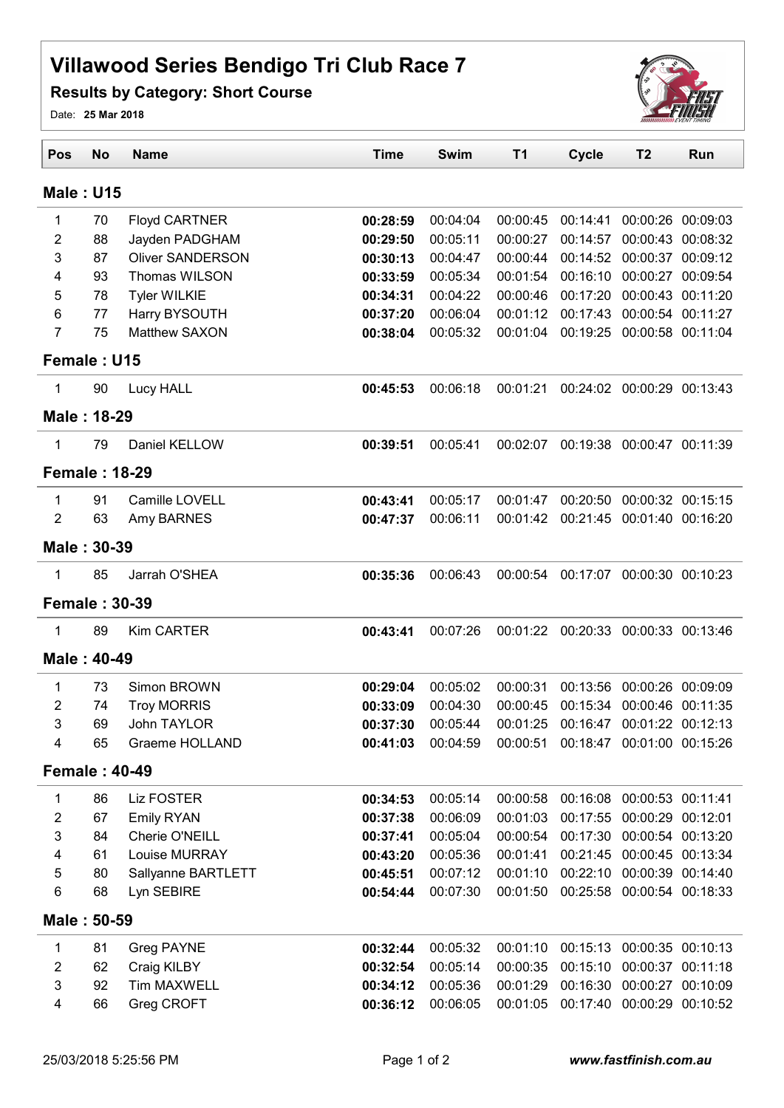## Villawood Series Bendigo Tri Club Race 7

## Results by Category: Short Course



Date: 25 Mar 2018

| Pos                       | <b>No</b> | <b>Name</b>             | <b>Time</b> | <b>Swim</b> | <b>T1</b> | <b>Cycle</b> | T <sub>2</sub>             | Run               |  |  |  |
|---------------------------|-----------|-------------------------|-------------|-------------|-----------|--------------|----------------------------|-------------------|--|--|--|
| <b>Male: U15</b>          |           |                         |             |             |           |              |                            |                   |  |  |  |
| 1                         | 70        | <b>Floyd CARTNER</b>    | 00:28:59    | 00:04:04    | 00:00:45  | 00:14:41     |                            | 00:00:26 00:09:03 |  |  |  |
| $\overline{2}$            | 88        | Jayden PADGHAM          | 00:29:50    | 00:05:11    | 00:00:27  | 00:14:57     | 00:00:43                   | 00:08:32          |  |  |  |
| 3                         | 87        | <b>Oliver SANDERSON</b> | 00:30:13    | 00:04:47    | 00:00:44  | 00:14:52     | 00:00:37                   | 00:09:12          |  |  |  |
| 4                         | 93        | Thomas WILSON           | 00:33:59    | 00:05:34    | 00:01:54  | 00:16:10     | 00:00:27                   | 00:09:54          |  |  |  |
| 5                         | 78        | <b>Tyler WILKIE</b>     | 00:34:31    | 00:04:22    | 00:00:46  | 00:17:20     | 00:00:43                   | 00:11:20          |  |  |  |
| 6                         | 77        | Harry BYSOUTH           | 00:37:20    | 00:06:04    | 00:01:12  | 00:17:43     | 00:00:54                   | 00:11:27          |  |  |  |
| $\overline{7}$            | 75        | <b>Matthew SAXON</b>    | 00:38:04    | 00:05:32    | 00:01:04  | 00:19:25     | 00:00:58                   | 00:11:04          |  |  |  |
| Female: U15               |           |                         |             |             |           |              |                            |                   |  |  |  |
| 1                         | 90        | Lucy HALL               | 00:45:53    | 00:06:18    | 00:01:21  | 00:24:02     |                            | 00:00:29 00:13:43 |  |  |  |
| Male: 18-29               |           |                         |             |             |           |              |                            |                   |  |  |  |
| 1                         | 79        | Daniel KELLOW           | 00:39:51    | 00:05:41    | 00:02:07  | 00:19:38     |                            | 00:00:47 00:11:39 |  |  |  |
| <b>Female: 18-29</b>      |           |                         |             |             |           |              |                            |                   |  |  |  |
| 1                         | 91        | Camille LOVELL          | 00:43:41    | 00:05:17    | 00:01:47  | 00:20:50     |                            | 00:00:32 00:15:15 |  |  |  |
| $\overline{2}$            | 63        | Amy BARNES              | 00:47:37    | 00:06:11    | 00:01:42  | 00:21:45     |                            | 00:01:40 00:16:20 |  |  |  |
| Male: 30-39               |           |                         |             |             |           |              |                            |                   |  |  |  |
| 1                         | 85        | Jarrah O'SHEA           | 00:35:36    | 00:06:43    | 00:00:54  | 00:17:07     |                            | 00:00:30 00:10:23 |  |  |  |
| <b>Female: 30-39</b>      |           |                         |             |             |           |              |                            |                   |  |  |  |
| 1                         | 89        | Kim CARTER              | 00:43:41    | 00:07:26    | 00:01:22  | 00:20:33     | 00:00:33 00:13:46          |                   |  |  |  |
| Male: 40-49               |           |                         |             |             |           |              |                            |                   |  |  |  |
| 1                         | 73        | Simon BROWN             | 00:29:04    | 00:05:02    | 00:00:31  | 00:13:56     |                            | 00:00:26 00:09:09 |  |  |  |
| 2                         | 74        | <b>Troy MORRIS</b>      | 00:33:09    | 00:04:30    | 00:00:45  | 00:15:34     | 00:00:46                   | 00:11:35          |  |  |  |
| 3                         | 69        | <b>John TAYLOR</b>      | 00:37:30    | 00:05:44    | 00:01:25  | 00:16:47     | 00:01:22                   | 00:12:13          |  |  |  |
| 4                         | 65        | <b>Graeme HOLLAND</b>   | 00:41:03    | 00:04:59    | 00:00:51  |              | 00:18:47 00:01:00 00:15:26 |                   |  |  |  |
| <b>Female: 40-49</b>      |           |                         |             |             |           |              |                            |                   |  |  |  |
| 1                         | 86        | <b>Liz FOSTER</b>       | 00:34:53    | 00:05:14    | 00:00:58  | 00:16:08     | 00:00:53 00:11:41          |                   |  |  |  |
| $\overline{2}$            | 67        | <b>Emily RYAN</b>       | 00:37:38    | 00:06:09    | 00:01:03  | 00:17:55     | 00:00:29 00:12:01          |                   |  |  |  |
| $\mathfrak{B}$            | 84        | Cherie O'NEILL          | 00:37:41    | 00:05:04    | 00:00:54  |              | 00:17:30 00:00:54 00:13:20 |                   |  |  |  |
| 4                         | 61        | Louise MURRAY           | 00:43:20    | 00:05:36    | 00:01:41  |              | 00:21:45 00:00:45 00:13:34 |                   |  |  |  |
| $\mathbf 5$               | 80        | Sallyanne BARTLETT      | 00:45:51    | 00:07:12    | 00:01:10  |              | 00:22:10 00:00:39 00:14:40 |                   |  |  |  |
| 6                         | 68        | Lyn SEBIRE              | 00:54:44    | 00:07:30    | 00:01:50  |              | 00:25:58 00:00:54 00:18:33 |                   |  |  |  |
| Male: 50-59               |           |                         |             |             |           |              |                            |                   |  |  |  |
| 1                         | 81        | Greg PAYNE              | 00:32:44    | 00:05:32    | 00:01:10  |              | 00:15:13 00:00:35 00:10:13 |                   |  |  |  |
| $\overline{2}$            | 62        | Craig KILBY             | 00:32:54    | 00:05:14    | 00:00:35  | 00:15:10     |                            | 00:00:37 00:11:18 |  |  |  |
| $\ensuremath{\mathsf{3}}$ | 92        | <b>Tim MAXWELL</b>      | 00:34:12    | 00:05:36    | 00:01:29  |              | 00:16:30 00:00:27 00:10:09 |                   |  |  |  |
| 4                         | 66        | Greg CROFT              | 00:36:12    | 00:06:05    | 00:01:05  | 00:17:40     | 00:00:29                   | 00:10:52          |  |  |  |